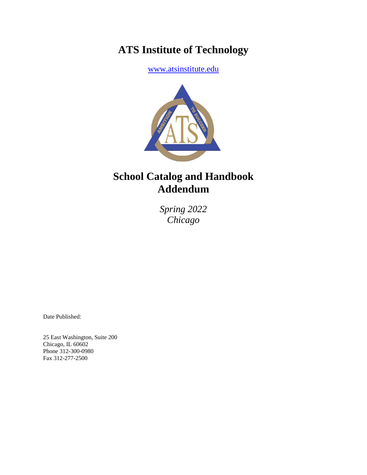# **ATS Institute of Technology**

[www.atsinstitute.edu](http://www.atsinstitute.edu/)



# **School Catalog and Handbook Addendum**

*Spring 2022 Chicago*

Date Published:

25 East Washington, Suite 200 Chicago, IL 60602 Phone 312-300-0980 Fax 312-277-2500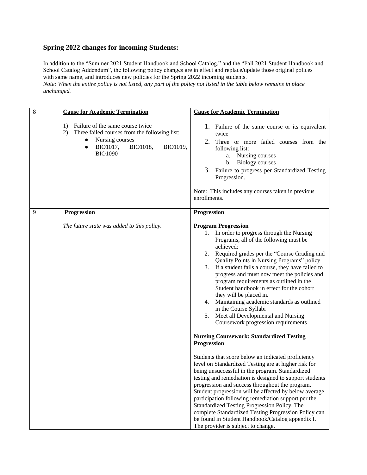## **Spring 2022 changes for incoming Students:**

In addition to the "Summer 2021 Student Handbook and School Catalog," and the "Fall 2021 Student Handbook and School Catalog Addendum", the following policy changes are in effect and replace/update those original polices with same name, and introduces new policies for the Spring 2022 incoming students. *Note: When the entire policy is not listed, any part of the policy not listed in the table below remains in place unchanged.*

| 8 | <b>Cause for Academic Termination</b>                                                                                                                                               | <b>Cause for Academic Termination</b>                                                                                                                                                                                                                                                                                                                                                                                                                                                                                                                                                                                                                                                                                                                                                                                                                                                                                            |  |  |
|---|-------------------------------------------------------------------------------------------------------------------------------------------------------------------------------------|----------------------------------------------------------------------------------------------------------------------------------------------------------------------------------------------------------------------------------------------------------------------------------------------------------------------------------------------------------------------------------------------------------------------------------------------------------------------------------------------------------------------------------------------------------------------------------------------------------------------------------------------------------------------------------------------------------------------------------------------------------------------------------------------------------------------------------------------------------------------------------------------------------------------------------|--|--|
|   | Failure of the same course twice<br>1)<br>2)<br>Three failed courses from the following list:<br>Nursing courses<br>BIO1017,<br>BIO1018,<br>BIO1019,<br>$\bullet$<br><b>BIO1090</b> | 1. Failure of the same course or its equivalent<br>twice<br>2.<br>Three or more failed courses from the<br>following list:<br>a. Nursing courses<br>b. Biology courses<br>3. Failure to progress per Standardized Testing<br>Progression.<br>Note: This includes any courses taken in previous<br>enrollments.                                                                                                                                                                                                                                                                                                                                                                                                                                                                                                                                                                                                                   |  |  |
| 9 | <b>Progression</b>                                                                                                                                                                  | Progression                                                                                                                                                                                                                                                                                                                                                                                                                                                                                                                                                                                                                                                                                                                                                                                                                                                                                                                      |  |  |
|   | The future state was added to this policy.                                                                                                                                          | <b>Program Progression</b><br>In order to progress through the Nursing<br>1.<br>Programs, all of the following must be<br>achieved:<br>Required grades per the "Course Grading and<br>2.<br>Quality Points in Nursing Programs" policy<br>If a student fails a course, they have failed to<br>3.<br>progress and must now meet the policies and<br>program requirements as outlined in the<br>Student handbook in effect for the cohort<br>they will be placed in.<br>Maintaining academic standards as outlined<br>4.<br>in the Course Syllabi<br>Meet all Developmental and Nursing<br>5.<br>Coursework progression requirements<br><b>Nursing Coursework: Standardized Testing</b><br>Progression<br>Students that score below an indicated proficiency<br>level on Standardized Testing are at higher risk for<br>being unsuccessful in the program. Standardized<br>testing and remediation is designed to support students |  |  |
|   |                                                                                                                                                                                     | progression and success throughout the program.<br>Student progression will be affected by below average<br>participation following remediation support per the<br>Standardized Testing Progression Policy. The<br>complete Standardized Testing Progression Policy can<br>be found in Student Handbook/Catalog appendix I.<br>The provider is subject to change.                                                                                                                                                                                                                                                                                                                                                                                                                                                                                                                                                                |  |  |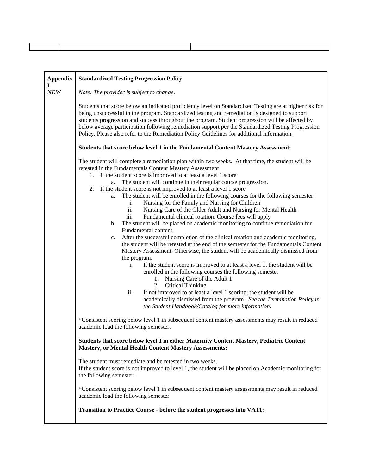| <b>Appendix</b><br>1 | <b>Standardized Testing Progression Policy</b>                                                                                                                                                                                                                                                                                                                                                                                                                                                                                                                                                                                                                                                                                                                                                                                                                                                                                                                                                                                                                                                                                                                                                                                                                                                                                                                                                                                                             |  |  |  |  |  |
|----------------------|------------------------------------------------------------------------------------------------------------------------------------------------------------------------------------------------------------------------------------------------------------------------------------------------------------------------------------------------------------------------------------------------------------------------------------------------------------------------------------------------------------------------------------------------------------------------------------------------------------------------------------------------------------------------------------------------------------------------------------------------------------------------------------------------------------------------------------------------------------------------------------------------------------------------------------------------------------------------------------------------------------------------------------------------------------------------------------------------------------------------------------------------------------------------------------------------------------------------------------------------------------------------------------------------------------------------------------------------------------------------------------------------------------------------------------------------------------|--|--|--|--|--|
| NEW                  | Note: The provider is subject to change.                                                                                                                                                                                                                                                                                                                                                                                                                                                                                                                                                                                                                                                                                                                                                                                                                                                                                                                                                                                                                                                                                                                                                                                                                                                                                                                                                                                                                   |  |  |  |  |  |
|                      | Students that score below an indicated proficiency level on Standardized Testing are at higher risk for<br>being unsuccessful in the program. Standardized testing and remediation is designed to support<br>students progression and success throughout the program. Student progression will be affected by<br>below average participation following remediation support per the Standardized Testing Progression<br>Policy. Please also refer to the Remediation Policy Guidelines for additional information.                                                                                                                                                                                                                                                                                                                                                                                                                                                                                                                                                                                                                                                                                                                                                                                                                                                                                                                                          |  |  |  |  |  |
|                      | Students that score below level 1 in the Fundamental Content Mastery Assessment:                                                                                                                                                                                                                                                                                                                                                                                                                                                                                                                                                                                                                                                                                                                                                                                                                                                                                                                                                                                                                                                                                                                                                                                                                                                                                                                                                                           |  |  |  |  |  |
|                      | The student will complete a remediation plan within two weeks. At that time, the student will be<br>retested in the Fundamentals Content Mastery Assessment<br>1. If the student score is improved to at least a level 1 score<br>a. The student will continue in their regular course progression.<br>If the student score is not improved to at least a level 1 score<br>2.<br>The student will be enrolled in the following courses for the following semester:<br>a.<br>Nursing for the Family and Nursing for Children<br>i.<br>ii.<br>Nursing Care of the Older Adult and Nursing for Mental Health<br>Fundamental clinical rotation. Course fees will apply<br>iii.<br>The student will be placed on academic monitoring to continue remediation for<br>b.<br>Fundamental content.<br>After the successful completion of the clinical rotation and academic monitoring,<br>c.<br>the student will be retested at the end of the semester for the Fundamentals Content<br>Mastery Assessment. Otherwise, the student will be academically dismissed from<br>the program.<br>If the student score is improved to at least a level 1, the student will be<br>i.<br>enrolled in the following courses the following semester<br>1. Nursing Care of the Adult 1<br>2.<br><b>Critical Thinking</b><br>If not improved to at least a level 1 scoring, the student will be<br>ii.<br>academically dismissed from the program. See the Termination Policy in |  |  |  |  |  |
|                      | *Consistent scoring below level 1 in subsequent content mastery assessments may result in reduced<br>academic load the following semester.                                                                                                                                                                                                                                                                                                                                                                                                                                                                                                                                                                                                                                                                                                                                                                                                                                                                                                                                                                                                                                                                                                                                                                                                                                                                                                                 |  |  |  |  |  |
|                      | Students that score below level 1 in either Maternity Content Mastery, Pediatric Content<br><b>Mastery, or Mental Health Content Mastery Assessments:</b>                                                                                                                                                                                                                                                                                                                                                                                                                                                                                                                                                                                                                                                                                                                                                                                                                                                                                                                                                                                                                                                                                                                                                                                                                                                                                                  |  |  |  |  |  |
|                      | The student must remediate and be retested in two weeks.<br>If the student score is not improved to level 1, the student will be placed on Academic monitoring for<br>the following semester.                                                                                                                                                                                                                                                                                                                                                                                                                                                                                                                                                                                                                                                                                                                                                                                                                                                                                                                                                                                                                                                                                                                                                                                                                                                              |  |  |  |  |  |
|                      | *Consistent scoring below level 1 in subsequent content mastery assessments may result in reduced<br>academic load the following semester                                                                                                                                                                                                                                                                                                                                                                                                                                                                                                                                                                                                                                                                                                                                                                                                                                                                                                                                                                                                                                                                                                                                                                                                                                                                                                                  |  |  |  |  |  |
|                      | Transition to Practice Course - before the student progresses into VATI:                                                                                                                                                                                                                                                                                                                                                                                                                                                                                                                                                                                                                                                                                                                                                                                                                                                                                                                                                                                                                                                                                                                                                                                                                                                                                                                                                                                   |  |  |  |  |  |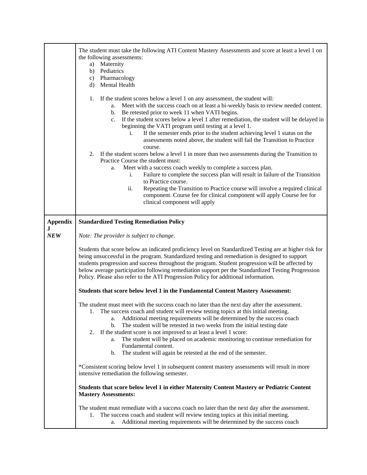|                 | The student must take the following ATI Content Mastery Assessments and score at least a level 1 on<br>the following assessments:<br>Maternity<br>a)<br>Pediatrics<br>b)<br>c) Pharmacology<br><b>Mental Health</b><br>d)<br>If the student scores below a level 1 on any assessment, the student will:<br>1.<br>Meet with the success coach on at least a bi-weekly basis to review needed content.<br>а.<br>Be retested prior to week 11 when VATI begins.<br>b.<br>If the student scores below a level 1 after remediation, the student will be delayed in<br>$\mathbf{c}$ .<br>beginning the VATI program until testing at a level 1.<br>If the semester ends prior to the student achieving level 1 status on the<br>i.<br>assessments noted above, the student will fail the Transition to Practice<br>course.<br>If the student scores below a level 1 in more than two assessments during the Transition to<br>2.<br>Practice Course the student must:<br>Meet with a success coach weekly to complete a success plan.<br>a.<br>Failure to complete the success plan will result in failure of the Transition<br>i.<br>to Practice course.<br>Repeating the Transition to Practice course will involve a required clinical<br>ii.<br>component. Course fee for clinical component will apply Course fee for<br>clinical component will apply |  |  |  |  |
|-----------------|------------------------------------------------------------------------------------------------------------------------------------------------------------------------------------------------------------------------------------------------------------------------------------------------------------------------------------------------------------------------------------------------------------------------------------------------------------------------------------------------------------------------------------------------------------------------------------------------------------------------------------------------------------------------------------------------------------------------------------------------------------------------------------------------------------------------------------------------------------------------------------------------------------------------------------------------------------------------------------------------------------------------------------------------------------------------------------------------------------------------------------------------------------------------------------------------------------------------------------------------------------------------------------------------------------------------------------------------------|--|--|--|--|
|                 |                                                                                                                                                                                                                                                                                                                                                                                                                                                                                                                                                                                                                                                                                                                                                                                                                                                                                                                                                                                                                                                                                                                                                                                                                                                                                                                                                      |  |  |  |  |
| <b>Appendix</b> | <b>Standardized Testing Remediation Policy</b>                                                                                                                                                                                                                                                                                                                                                                                                                                                                                                                                                                                                                                                                                                                                                                                                                                                                                                                                                                                                                                                                                                                                                                                                                                                                                                       |  |  |  |  |
| $\bf J$<br>NEW  |                                                                                                                                                                                                                                                                                                                                                                                                                                                                                                                                                                                                                                                                                                                                                                                                                                                                                                                                                                                                                                                                                                                                                                                                                                                                                                                                                      |  |  |  |  |
|                 | Note: The provider is subject to change.                                                                                                                                                                                                                                                                                                                                                                                                                                                                                                                                                                                                                                                                                                                                                                                                                                                                                                                                                                                                                                                                                                                                                                                                                                                                                                             |  |  |  |  |
|                 | Students that score below an indicated proficiency level on Standardized Testing are at higher risk for<br>being unsuccessful in the program. Standardized testing and remediation is designed to support<br>students progression and success throughout the program. Student progression will be affected by<br>below average participation following remediation support per the Standardized Testing Progression<br>Policy. Please also refer to the ATI Progression Policy for additional information.                                                                                                                                                                                                                                                                                                                                                                                                                                                                                                                                                                                                                                                                                                                                                                                                                                           |  |  |  |  |
|                 | Students that score below level 1 in the Fundamental Content Mastery Assessment:                                                                                                                                                                                                                                                                                                                                                                                                                                                                                                                                                                                                                                                                                                                                                                                                                                                                                                                                                                                                                                                                                                                                                                                                                                                                     |  |  |  |  |
|                 | The student must meet with the success coach no later than the next day after the assessment.<br>The success coach and student will review testing topics at this initial meeting.<br>Additional meeting requirements will be determined by the success coach<br>а.<br>b.<br>The student will be retested in two weeks from the initial testing date<br>If the student score is not improved to at least a level 1 score:<br>2.<br>The student will be placed on academic monitoring to continue remediation for<br>a.<br>Fundamental content.<br>The student will again be retested at the end of the semester.<br>b.                                                                                                                                                                                                                                                                                                                                                                                                                                                                                                                                                                                                                                                                                                                               |  |  |  |  |
|                 | *Consistent scoring below level 1 in subsequent content mastery assessments will result in more<br>intensive remediation the following semester.                                                                                                                                                                                                                                                                                                                                                                                                                                                                                                                                                                                                                                                                                                                                                                                                                                                                                                                                                                                                                                                                                                                                                                                                     |  |  |  |  |
|                 | Students that score below level 1 in either Maternity Content Mastery or Pediatric Content<br><b>Mastery Assessments:</b>                                                                                                                                                                                                                                                                                                                                                                                                                                                                                                                                                                                                                                                                                                                                                                                                                                                                                                                                                                                                                                                                                                                                                                                                                            |  |  |  |  |
|                 | The student must remediate with a success coach no later than the next day after the assessment.<br>The success coach and student will review testing topics at this initial meeting.<br>1.<br>Additional meeting requirements will be determined by the success coach<br>а.                                                                                                                                                                                                                                                                                                                                                                                                                                                                                                                                                                                                                                                                                                                                                                                                                                                                                                                                                                                                                                                                         |  |  |  |  |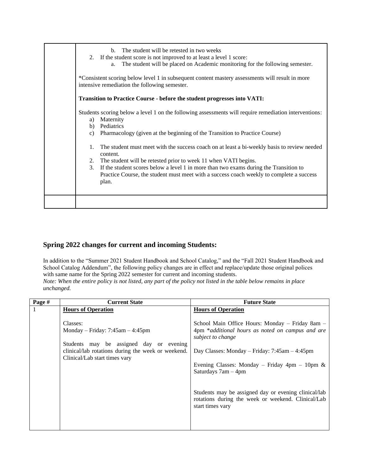| The student will be retested in two weeks<br>2. If the student score is not improved to at least a level 1 score:<br>The student will be placed on Academic monitoring for the following semester.<br>*Consistent scoring below level 1 in subsequent content mastery assessments will result in more                                                                                                                                                                                                                                      |
|--------------------------------------------------------------------------------------------------------------------------------------------------------------------------------------------------------------------------------------------------------------------------------------------------------------------------------------------------------------------------------------------------------------------------------------------------------------------------------------------------------------------------------------------|
| Transition to Practice Course - before the student progresses into VATI:                                                                                                                                                                                                                                                                                                                                                                                                                                                                   |
| Students scoring below a level 1 on the following assessments will require remediation interventions:<br>Pharmacology (given at the beginning of the Transition to Practice Course)<br>The student must meet with the success coach on at least a bi-weekly basis to review needed<br>The student will be retested prior to week 11 when VATI begins.<br>If the student scores below a level 1 in more than two exams during the Transition to<br>Practice Course, the student must meet with a success coach weekly to complete a success |
|                                                                                                                                                                                                                                                                                                                                                                                                                                                                                                                                            |

## **Spring 2022 changes for current and incoming Students:**

In addition to the "Summer 2021 Student Handbook and School Catalog," and the "Fall 2021 Student Handbook and School Catalog Addendum", the following policy changes are in effect and replace/update those original polices with same name for the Spring 2022 semester for current and incoming students. *Note: When the entire policy is not listed, any part of the policy not listed in the table below remains in place* 

*unchanged.*

| Page # | <b>Current State</b>                               | <b>Future State</b>                                                                                                            |
|--------|----------------------------------------------------|--------------------------------------------------------------------------------------------------------------------------------|
|        | <b>Hours of Operation</b>                          | <b>Hours of Operation</b>                                                                                                      |
|        |                                                    |                                                                                                                                |
|        | Classes:                                           | School Main Office Hours: Monday – Friday 8am –                                                                                |
|        | Monday – Friday: $7:45$ am – $4:45$ pm             | 4pm *additional hours as noted on campus and are<br>subject to change                                                          |
|        | Students may be assigned day or evening            |                                                                                                                                |
|        | clinical/lab rotations during the week or weekend. | Day Classes: Monday – Friday: $7:45am - 4:45pm$                                                                                |
|        | Clinical/Lab start times vary                      |                                                                                                                                |
|        |                                                    | Evening Classes: Monday – Friday 4pm – 10pm $\&$<br>Saturdays $7am - 4pm$                                                      |
|        |                                                    |                                                                                                                                |
|        |                                                    | Students may be assigned day or evening clinical/lab<br>rotations during the week or weekend. Clinical/Lab<br>start times vary |
|        |                                                    |                                                                                                                                |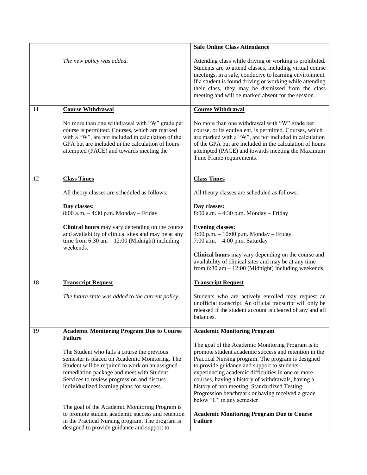|    |                                                                                                                                                                                                                                                        | <b>Safe Online Class Attendance</b>                                                                                                                                                                                                                                                                                                                   |
|----|--------------------------------------------------------------------------------------------------------------------------------------------------------------------------------------------------------------------------------------------------------|-------------------------------------------------------------------------------------------------------------------------------------------------------------------------------------------------------------------------------------------------------------------------------------------------------------------------------------------------------|
|    |                                                                                                                                                                                                                                                        |                                                                                                                                                                                                                                                                                                                                                       |
|    | The new policy was added.                                                                                                                                                                                                                              | Attending class while driving or working is prohibited.<br>Students are to attend classes, including virtual course<br>meetings, in a safe, conducive to learning environment.<br>If a student is found driving or working while attending<br>their class, they may be dismissed from the class<br>meeting and will be marked absent for the session. |
| 11 | <b>Course Withdrawal</b>                                                                                                                                                                                                                               | <b>Course Withdrawal</b>                                                                                                                                                                                                                                                                                                                              |
|    | No more than one withdrawal with "W" grade per<br>course is permitted. Courses, which are marked<br>with a "W", are not included in calculation of the<br>GPA but are included in the calculation of hours<br>attempted (PACE) and towards meeting the | No more than one withdrawal with "W" grade per<br>course, or its equivalent, is permitted. Courses, which<br>are marked with a "W", are not included in calculation<br>of the GPA but are included in the calculation of hours<br>attempted (PACE) and towards meeting the Maximum<br>Time Frame requirements.                                        |
|    |                                                                                                                                                                                                                                                        |                                                                                                                                                                                                                                                                                                                                                       |
| 12 | <b>Class Times</b>                                                                                                                                                                                                                                     | <b>Class Times</b>                                                                                                                                                                                                                                                                                                                                    |
|    | All theory classes are scheduled as follows:                                                                                                                                                                                                           | All theory classes are scheduled as follows:                                                                                                                                                                                                                                                                                                          |
|    | Day classes:<br>8:00 a.m. - 4:30 p.m. Monday - Friday                                                                                                                                                                                                  | Day classes:<br>8:00 a.m. - 4:30 p.m. Monday - Friday                                                                                                                                                                                                                                                                                                 |
|    | Clinical hours may vary depending on the course<br>and availability of clinical sites and may be at any<br>time from $6:30$ am $-12:00$ (Midnight) including<br>weekends.                                                                              | <b>Evening classes:</b><br>4:00 p.m. $- 10:00$ p.m. Monday $-$ Friday<br>7:00 a.m. $-4:00$ p.m. Saturday                                                                                                                                                                                                                                              |
|    |                                                                                                                                                                                                                                                        | Clinical hours may vary depending on the course and<br>availability of clinical sites and may be at any time<br>from $6:30$ am $-12:00$ (Midnight) including weekends.                                                                                                                                                                                |
| 18 | <b>Transcript Request</b>                                                                                                                                                                                                                              | <b>Transcript Request</b>                                                                                                                                                                                                                                                                                                                             |
|    | The future state was added to the current policy.                                                                                                                                                                                                      | Students who are actively enrolled may request an<br>unofficial transcript. An official transcript will only be<br>released if the student account is cleared of any and all<br>balances.                                                                                                                                                             |
| 19 | <b>Academic Monitoring Program Due to Course</b>                                                                                                                                                                                                       | <b>Academic Monitoring Program</b>                                                                                                                                                                                                                                                                                                                    |
|    | <b>Failure</b>                                                                                                                                                                                                                                         |                                                                                                                                                                                                                                                                                                                                                       |
|    | The Student who fails a course the previous                                                                                                                                                                                                            | The goal of the Academic Monitoring Program is to<br>promote student academic success and retention in the                                                                                                                                                                                                                                            |
|    | semester is placed on Academic Monitoring. The                                                                                                                                                                                                         | Practical Nursing program. The program is designed                                                                                                                                                                                                                                                                                                    |
|    | Student will be required to work on an assigned<br>remediation package and meet with Student                                                                                                                                                           | to provide guidance and support to students<br>experiencing academic difficulties in one or more                                                                                                                                                                                                                                                      |
|    | Services to review progression and discuss                                                                                                                                                                                                             | courses, having a history of withdrawals, having a                                                                                                                                                                                                                                                                                                    |
|    | individualized learning plans for success.                                                                                                                                                                                                             | history of non meeting Standardized Testing<br>Progression benchmark or having received a grade<br>below "C" in any semester                                                                                                                                                                                                                          |
|    | The goal of the Academic Monitoring Program is                                                                                                                                                                                                         |                                                                                                                                                                                                                                                                                                                                                       |
|    | to promote student academic success and retention<br>in the Practical Nursing program. The program is                                                                                                                                                  | <b>Academic Monitoring Program Due to Course</b><br><b>Failure</b>                                                                                                                                                                                                                                                                                    |
|    | designed to provide guidance and support to                                                                                                                                                                                                            |                                                                                                                                                                                                                                                                                                                                                       |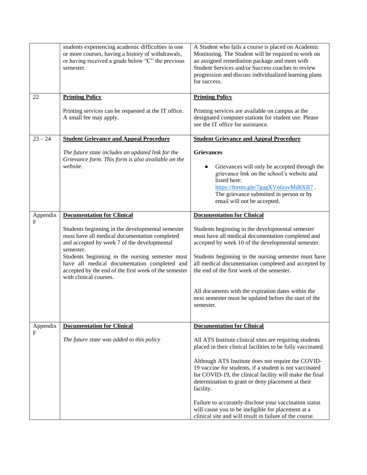|                          | students experiencing academic difficulties in one<br>or more courses, having a history of withdrawals,<br>or having received a grade below "C" the previous<br>semester.          | A Student who fails a course is placed on Academic<br>Monitoring. The Student will be required to work on<br>an assigned remediation package and meet with<br>Student Services and/or Success coaches to review<br>progression and discuss individualized learning plans<br>for success. |
|--------------------------|------------------------------------------------------------------------------------------------------------------------------------------------------------------------------------|------------------------------------------------------------------------------------------------------------------------------------------------------------------------------------------------------------------------------------------------------------------------------------------|
| 22                       | <b>Printing Policy</b>                                                                                                                                                             | <b>Printing Policy</b>                                                                                                                                                                                                                                                                   |
|                          | Printing services can be requested at the IT office.<br>A small fee may apply.                                                                                                     | Printing services are available on campus at the<br>designated computer stations for student use. Please<br>see the IT office for assistance.                                                                                                                                            |
| $23 - 24$                | <b>Student Grievance and Appeal Procedure</b>                                                                                                                                      | <b>Student Grievance and Appeal Procedure</b>                                                                                                                                                                                                                                            |
|                          | The future state includes an updated link for the<br>Grievance form. This form is also available on the<br>website.                                                                | <b>Grievances</b><br>Grievances will only be accepted through the                                                                                                                                                                                                                        |
|                          |                                                                                                                                                                                    | grievance link on the school's website and<br>listed here:<br>https://forms.gle/7gagXVn6ravMd8XB7.<br>The grievance submitted in person or by<br>email will not be accepted.                                                                                                             |
| Appendix<br>$\mathbf{F}$ | <b>Documentation for Clinical</b>                                                                                                                                                  | <b>Documentation for Clinical</b>                                                                                                                                                                                                                                                        |
|                          | Students beginning in the developmental semester<br>must have all medical documentation completed<br>and accepted by week 7 of the developmental<br>semester.                      | Students beginning in the developmental semester<br>must have all medical documentation completed and<br>accepted by week 10 of the developmental semester.                                                                                                                              |
|                          | Students beginning in the nursing semester must<br>have all medical documentation completed and<br>accepted by the end of the first week of the semester<br>with clinical courses. | Students beginning in the nursing semester must have<br>all medical documentation completed and accepted by<br>the end of the first week of the semester.                                                                                                                                |
|                          |                                                                                                                                                                                    | All documents with the expiration dates within the<br>next semester must be updated before the start of the<br>semester.                                                                                                                                                                 |
| Appendix                 | <b>Documentation for Clinical</b>                                                                                                                                                  | <b>Documentation for Clinical</b>                                                                                                                                                                                                                                                        |
| $\mathbf F$              | The future state was added to this policy                                                                                                                                          | All ATS Institute clinical sites are requiring students<br>placed in their clinical facilities to be fully vaccinated.                                                                                                                                                                   |
|                          |                                                                                                                                                                                    | Although ATS Institute does not require the COVID-<br>19 vaccine for students, if a student is not vaccinated<br>for COVID-19, the clinical facility will make the final<br>determination to grant or deny placement at their<br>facility.                                               |
|                          |                                                                                                                                                                                    | Failure to accurately disclose your vaccination status<br>will cause you to be ineligible for placement at a<br>clinical site and will result in failure of the course.                                                                                                                  |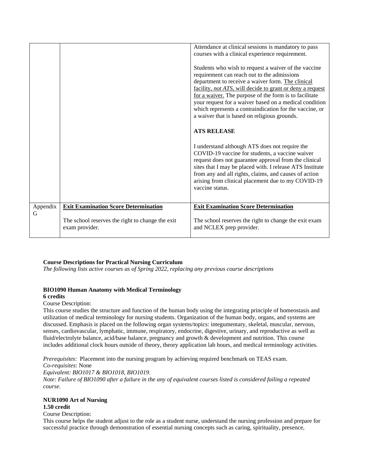|               |                                                                    | Attendance at clinical sessions is mandatory to pass<br>courses with a clinical experience requirement.<br>Students who wish to request a waiver of the vaccine<br>requirement can reach out to the admissions<br>department to receive a waiver form. The clinical<br>facility, not ATS, will decide to grant or deny a request<br>for a waiver. The purpose of the form is to facilitate<br>your request for a waiver based on a medical condition<br>which represents a contraindication for the vaccine, or<br>a waiver that is based on religious grounds.<br><b>ATS RELEASE</b><br>I understand although ATS does not require the<br>COVID-19 vaccine for students, a vaccine waiver<br>request does not guarantee approval from the clinical<br>sites that I may be placed with. I release ATS Institute<br>from any and all rights, claims, and causes of action<br>arising from clinical placement due to my COVID-19<br>vaccine status. |
|---------------|--------------------------------------------------------------------|---------------------------------------------------------------------------------------------------------------------------------------------------------------------------------------------------------------------------------------------------------------------------------------------------------------------------------------------------------------------------------------------------------------------------------------------------------------------------------------------------------------------------------------------------------------------------------------------------------------------------------------------------------------------------------------------------------------------------------------------------------------------------------------------------------------------------------------------------------------------------------------------------------------------------------------------------|
|               |                                                                    | <b>Exit Examination Score Determination</b>                                                                                                                                                                                                                                                                                                                                                                                                                                                                                                                                                                                                                                                                                                                                                                                                                                                                                                       |
| Appendix<br>G | <b>Exit Examination Score Determination</b>                        |                                                                                                                                                                                                                                                                                                                                                                                                                                                                                                                                                                                                                                                                                                                                                                                                                                                                                                                                                   |
|               | The school reserves the right to change the exit<br>exam provider. | The school reserves the right to change the exit exam<br>and NCLEX prep provider.                                                                                                                                                                                                                                                                                                                                                                                                                                                                                                                                                                                                                                                                                                                                                                                                                                                                 |

## **Course Descriptions for Practical Nursing Curriculum**

*The following lists active courses as of Spring 2022, replacing any previous course descriptions*

## **BIO1090 Human Anatomy with Medical Terminology 6 credits**

Course Description:

This course studies the structure and function of the human body using the integrating principle of homeostasis and utilization of medical terminology for nursing students. Organization of the human body, organs, and systems are discussed. Emphasis is placed on the following organ systems/topics: integumentary, skeletal, muscular, nervous, senses, cardiovascular, lymphatic, immune, respiratory, endocrine, digestive, urinary, and reproductive as well as fluid/electrolyte balance, acid/base balance, pregnancy and growth & development and nutrition. This course includes additional clock hours outside of theory, theory application lab hours, and medical terminology activities.

*Prerequisites*: Placement into the nursing program by achieving required benchmark on TEAS exam.

*Co-requisites*: None

*Equivalent: BIO1017 & BIO1018, BIO1019.* 

*Note: Failure of BIO1090 after a failure in the any of equivalent courses listed is considered failing a repeated course.*

## **NUR1090 Art of Nursing 1.50 credit**

Course Description:

This course helps the student adjust to the role as a student nurse, understand the nursing profession and prepare for successful practice through demonstration of essential nursing concepts such as caring, spirituality, presence,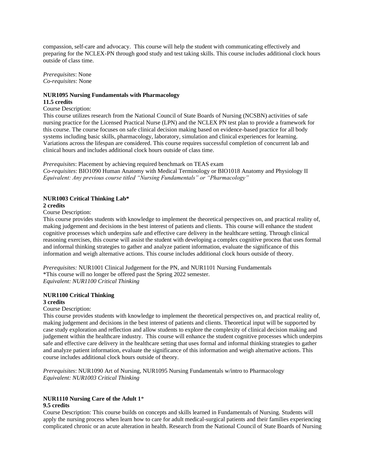compassion, self-care and advocacy. This course will help the student with communicating effectively and preparing for the NCLEX-PN through good study and test taking skills. This course includes additional clock hours outside of class time.

*Prerequisites*: None *Co-requisites*: None

#### **NUR1095 Nursing Fundamentals with Pharmacology 11.5 credits**

Course Description:

This course utilizes research from the National Council of State Boards of Nursing (NCSBN) activities of safe nursing practice for the Licensed Practical Nurse (LPN) and the NCLEX PN test plan to provide a framework for this course. The course focuses on safe clinical decision making based on evidence-based practice for all body systems including basic skills, pharmacology, laboratory, simulation and clinical experiences for learning. Variations across the lifespan are considered. This course requires successful completion of concurrent lab and clinical hours and includes additional clock hours outside of class time.

*Prerequisites*: Placement by achieving required benchmark on TEAS exam

*Co-requisites*: BIO1090 Human Anatomy with Medical Terminology or BIO1018 Anatomy and Physiology II *Equivalent: Any previous course titled "Nursing Fundamentals" or "Pharmacology"*

## **NUR1003 Critical Thinking Lab\***

## **2 credits**

Course Description:

This course provides students with knowledge to implement the theoretical perspectives on, and practical reality of, making judgement and decisions in the best interest of patients and clients. This course will enhance the student cognitive processes which underpins safe and effective care delivery in the healthcare setting. Through clinical reasoning exercises, this course will assist the student with developing a complex cognitive process that uses formal and informal thinking strategies to gather and analyze patient information, evaluate the significance of this information and weigh alternative actions. This course includes additional clock hours outside of theory.

*Prerequisites:* NUR1001 Clinical Judgement for the PN, and NUR1101 Nursing Fundamentals \*This course will no longer be offered past the Spring 2022 semester. *Equivalent: NUR1100 Critical Thinking*

#### **NUR1100 Critical Thinking 3 credits**

## Course Description:

This course provides students with knowledge to implement the theoretical perspectives on, and practical reality of, making judgement and decisions in the best interest of patients and clients. Theoretical input will be supported by case study exploration and reflection and allow students to explore the complexity of clinical decision making and judgement within the healthcare industry. This course will enhance the student cognitive processes which underpins safe and effective care delivery in the healthcare setting that uses formal and informal thinking strategies to gather and analyze patient information, evaluate the significance of this information and weigh alternative actions. This course includes additional clock hours outside of theory.

*Prerequisites*: NUR1090 Art of Nursing, NUR1095 Nursing Fundamentals w/intro to Pharmacology *Equivalent: NUR1003 Critical Thinking*

## **NUR1110 Nursing Care of the Adult 1**\* **9.5 credits**

Course Description: This course builds on concepts and skills learned in Fundamentals of Nursing. Students will apply the nursing process when learn how to care for adult medical-surgical patients and their families experiencing complicated chronic or an acute alteration in health. Research from the National Council of State Boards of Nursing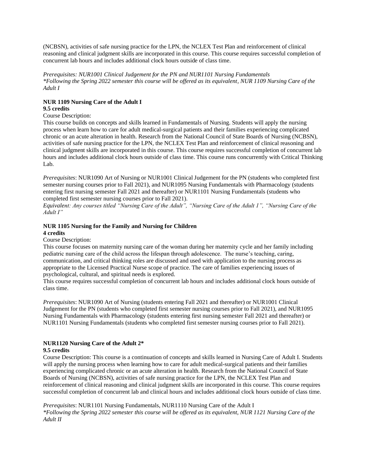(NCBSN), activities of safe nursing practice for the LPN, the NCLEX Test Plan and reinforcement of clinical reasoning and clinical judgment skills are incorporated in this course. This course requires successful completion of concurrent lab hours and includes additional clock hours outside of class time.

*Prerequisites: NUR1001 Clinical Judgement for the PN and NUR1101 Nursing Fundamentals \*Following the Spring 2022 semester this course will be offered as its equivalent, NUR 1109 Nursing Care of the Adult I*

## **NUR 1109 Nursing Care of the Adult I 9.5 credits**

## Course Description:

This course builds on concepts and skills learned in Fundamentals of Nursing. Students will apply the nursing process when learn how to care for adult medical-surgical patients and their families experiencing complicated chronic or an acute alteration in health. Research from the National Council of State Boards of Nursing (NCBSN), activities of safe nursing practice for the LPN, the NCLEX Test Plan and reinforcement of clinical reasoning and clinical judgment skills are incorporated in this course. This course requires successful completion of concurrent lab hours and includes additional clock hours outside of class time. This course runs concurrently with Critical Thinking Lab.

*Prerequisites*: NUR1090 Art of Nursing or NUR1001 Clinical Judgement for the PN (students who completed first semester nursing courses prior to Fall 2021), and NUR1095 Nursing Fundamentals with Pharmacology (students entering first nursing semester Fall 2021 and thereafter) or NUR1101 Nursing Fundamentals (students who completed first semester nursing courses prior to Fall 2021).

*Equivalent: Any courses titled "Nursing Care of the Adult", "Nursing Care of the Adult 1", "Nursing Care of the Adult I"* 

## **NUR 1105 Nursing for the Family and Nursing for Children 4 credits**

## Course Description:

This course focuses on maternity nursing care of the woman during her maternity cycle and her family including pediatric nursing care of the child across the lifespan through adolescence. The nurse's teaching, caring, communication, and critical thinking roles are discussed and used with application to the nursing process as appropriate to the Licensed Practical Nurse scope of practice. The care of families experiencing issues of psychological, cultural, and spiritual needs is explored.

This course requires successful completion of concurrent lab hours and includes additional clock hours outside of class time.

*Prerequisites*: NUR1090 Art of Nursing (students entering Fall 2021 and thereafter) or NUR1001 Clinical Judgement for the PN (students who completed first semester nursing courses prior to Fall 2021), and NUR1095 Nursing Fundamentals with Pharmacology (students entering first nursing semester Fall 2021 and thereafter) or NUR1101 Nursing Fundamentals (students who completed first semester nursing courses prior to Fall 2021).

## **NUR1120 Nursing Care of the Adult 2\* 9.5 credits**

Course Description: This course is a continuation of concepts and skills learned in Nursing Care of Adult I. Students will apply the nursing process when learning how to care for adult medical-surgical patients and their families experiencing complicated chronic or an acute alteration in health. Research from the National Council of State Boards of Nursing (NCBSN), activities of safe nursing practice for the LPN, the NCLEX Test Plan and reinforcement of clinical reasoning and clinical judgment skills are incorporated in this course. This course requires successful completion of concurrent lab and clinical hours and includes additional clock hours outside of class time.

## *Prerequisites*: NUR1101 Nursing Fundamentals, NUR1110 Nursing Care of the Adult I *\*Following the Spring 2022 semester this course will be offered as its equivalent, NUR 1121 Nursing Care of the Adult II*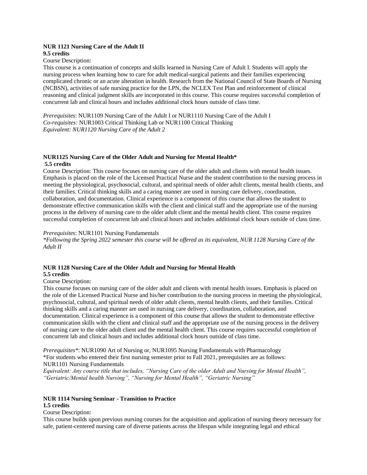## **NUR 1121 Nursing Care of the Adult II 9.5 credits**

## Course Description:

This course is a continuation of concepts and skills learned in Nursing Care of Adult I. Students will apply the nursing process when learning how to care for adult medical-surgical patients and their families experiencing complicated chronic or an acute alteration in health. Research from the National Council of State Boards of Nursing (NCBSN), activities of safe nursing practice for the LPN, the NCLEX Test Plan and reinforcement of clinical reasoning and clinical judgment skills are incorporated in this course. This course requires successful completion of concurrent lab and clinical hours and includes additional clock hours outside of class time.

*Prerequisites*: NUR1109 Nursing Care of the Adult I or NUR1110 Nursing Care of the Adult I *Co-requisites:* NUR1003 Critical Thinking Lab or NUR1100 Critical Thinking *Equivalent: NUR1120 Nursing Care of the Adult 2*

## **NUR1125 Nursing Care of the Older Adult and Nursing for Mental Health\* 5.5 credits**

Course Description: This course focuses on nursing care of the older adult and clients with mental health issues. Emphasis is placed on the role of the Licensed Practical Nurse and the student contribution to the nursing process in meeting the physiological, psychosocial, cultural, and spiritual needs of older adult clients, mental health clients, and their families. Critical thinking skills and a caring manner are used in nursing care delivery, coordination, collaboration, and documentation. Clinical experience is a component of this course that allows the student to demonstrate effective communication skills with the client and clinical staff and the appropriate use of the nursing process in the delivery of nursing care to the older adult client and the mental health client. This course requires successful completion of concurrent lab and clinical hours and includes additional clock hours outside of class time.

## *Prerequisites*: NUR1101 Nursing Fundamentals

*\*Following the Spring 2022 semester this course will be offered as its equivalent, NUR 1128 Nursing Care of the Adult II*

## **NUR 1128 Nursing Care of the Older Adult and Nursing for Mental Health**

## **5.5 credits**

## Course Description:

This course focuses on nursing care of the older adult and clients with mental health issues. Emphasis is placed on the role of the Licensed Practical Nurse and his/her contribution to the nursing process in meeting the physiological, psychosocial, cultural, and spiritual needs of older adult clients, mental health clients, and their families. Critical thinking skills and a caring manner are used in nursing care delivery, coordination, collaboration, and documentation. Clinical experience is a component of this course that allows the student to demonstrate effective communication skills with the client and clinical staff and the appropriate use of the nursing process in the delivery of nursing care to the older adult client and the mental health client. This course requires successful completion of concurrent lab and clinical hours and includes additional clock hours outside of class time.

*Prerequisites\**: NUR1090 Art of Nursing or, NUR1095 Nursing Fundamentals with Pharmacology \*For students who entered their first nursing semester prior to Fall 2021, prerequisites are as follows: NUR1101 Nursing Fundamentals

*Equivalent: Any course title that includes, "Nursing Care of the older Adult and Nursing for Mental Health", "Geriatric/Mental health Nursing", "Nursing for Mental Health", "Geriatric Nursing"*

# **NUR 1114 Nursing Seminar - Transition to Practice**

# **1.5 credits**

Course Description:

This course builds upon previous nursing courses for the acquisition and application of nursing theory necessary for safe, patient-centered nursing care of diverse patients across the lifespan while integrating legal and ethical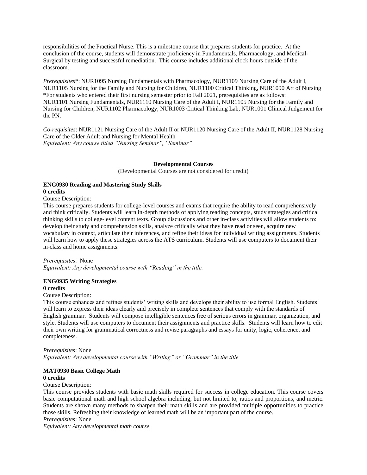responsibilities of the Practical Nurse. This is a milestone course that prepares students for practice. At the conclusion of the course, students will demonstrate proficiency in Fundamentals, Pharmacology, and Medical-Surgical by testing and successful remediation. This course includes additional clock hours outside of the classroom.

*Prerequisites*\*: NUR1095 Nursing Fundamentals with Pharmacology, NUR1109 Nursing Care of the Adult I, NUR1105 Nursing for the Family and Nursing for Children, NUR1100 Critical Thinking, NUR1090 Art of Nursing \*For students who entered their first nursing semester prior to Fall 2021, prerequisites are as follows: NUR1101 Nursing Fundamentals, NUR1110 Nursing Care of the Adult I, NUR1105 Nursing for the Family and Nursing for Children, NUR1102 Pharmacology, NUR1003 Critical Thinking Lab, NUR1001 Clinical Judgement for the PN.

*Co-requisites*: NUR1121 Nursing Care of the Adult II or NUR1120 Nursing Care of the Adult II, NUR1128 Nursing Care of the Older Adult and Nursing for Mental Health *Equivalent: Any course titled "Nursing Seminar", "Seminar"*

#### **Developmental Courses**

(Developmental Courses are not considered for credit)

## **ENG0930 Reading and Mastering Study Skills 0 credits**

Course Description:

This course prepares students for college-level courses and exams that require the ability to read comprehensively and think critically. Students will learn in-depth methods of applying reading concepts, study strategies and critical thinking skills to college-level content texts. Group discussions and other in-class activities will allow students to: develop their study and comprehension skills, analyze critically what they have read or seen, acquire new vocabulary in context, articulate their inferences, and refine their ideas for individual writing assignments. Students will learn how to apply these strategies across the ATS curriculum. Students will use computers to document their in-class and home assignments.

*Prerequisites*: None

*Equivalent: Any developmental course with "Reading" in the title.*

## **ENG0935 Writing Strategies 0 credits**

#### Course Description:

This course enhances and refines students' writing skills and develops their ability to use formal English. Students will learn to express their ideas clearly and precisely in complete sentences that comply with the standards of English grammar. Students will compose intelligible sentences free of serious errors in grammar, organization, and style. Students will use computers to document their assignments and practice skills. Students will learn how to edit their own writing for grammatical correctness and revise paragraphs and essays for unity, logic, coherence, and completeness.

*Prerequisites*: None *Equivalent: Any developmental course with "Writing" or "Grammar" in the title*

## **MAT0930 Basic College Math 0 credits**

Course Description:

This course provides students with basic math skills required for success in college education. This course covers basic computational math and high school algebra including, but not limited to, ratios and proportions, and metric. Students are shown many methods to sharpen their math skills and are provided multiple opportunities to practice those skills. Refreshing their knowledge of learned math will be an important part of the course.

*Prerequisites*: None

*Equivalent: Any developmental math course.*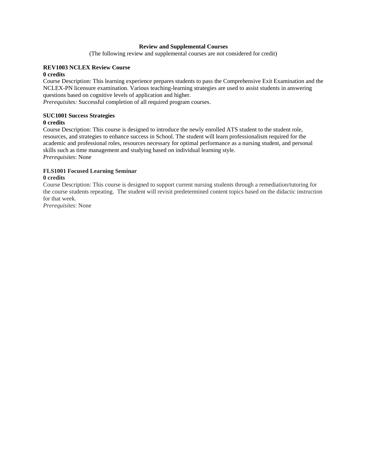## **Review and Supplemental Courses**

(The following review and supplemental courses are not considered for credit)

## **REV1003 NCLEX Review Course**

## **0 credits**

Course Description: This learning experience prepares students to pass the Comprehensive Exit Examination and the NCLEX-PN licensure examination. Various teaching-learning strategies are used to assist students in answering questions based on cognitive levels of application and higher. *Prerequisites:* Successful completion of all required program courses.

## **SUC1001 Success Strategies 0 credits**

Course Description: This course is designed to introduce the newly enrolled ATS student to the student role, resources, and strategies to enhance success in School. The student will learn professionalism required for the academic and professional roles, resources necessary for optimal performance as a nursing student, and personal skills such as time management and studying based on individual learning style. *Prerequisites*: None

## **FLS1001 Focused Learning Seminar**

## **0 credits**

Course Description: This course is designed to support current nursing students through a remediation/tutoring for the course students repeating. The student will revisit predetermined content topics based on the didactic instruction for that week.

*Prerequisites*: None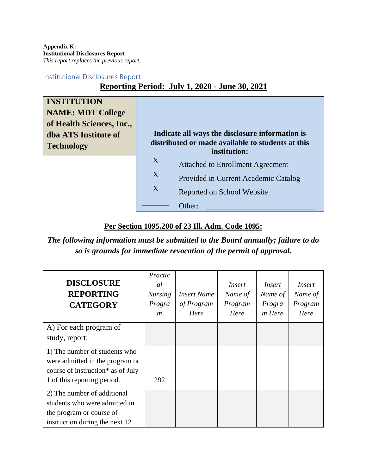**Appendix K: Institutional Disclosures Report** *This report replaces the previous report.*

# Institutional Disclosures Report

# **Reporting Period: July 1, 2020 - June 30, 2021**

| <b>INSTITUTION</b><br><b>NAME: MDT College</b><br>of Health Sciences, Inc.,<br>dba ATS Institute of<br><b>Technology</b> |   | Indicate all ways the disclosure information is<br>distributed or made available to students at this<br>institution: |
|--------------------------------------------------------------------------------------------------------------------------|---|----------------------------------------------------------------------------------------------------------------------|
|                                                                                                                          | X | <b>Attached to Enrollment Agreement</b>                                                                              |
|                                                                                                                          | X | Provided in Current Academic Catalog                                                                                 |
|                                                                                                                          | X | Reported on School Website                                                                                           |
|                                                                                                                          |   | Other:                                                                                                               |

# **Per Section 1095.200 of 23 Ill. Adm. Code 1095:**

*The following information must be submitted to the Board annually; failure to do so is grounds for immediate revocation of the permit of approval.*

| <b>DISCLOSURE</b><br><b>REPORTING</b><br><b>CATEGORY</b> | Practic<br>al<br><b>Nursing</b><br>Progra<br>$\boldsymbol{m}$ | <b>Insert Name</b><br>of Program<br>Here | Insert<br>Name of<br>Program<br>Here | Insert<br>Name of<br>Progra<br>m Here | Insert<br>Name of<br>Program<br>Here |
|----------------------------------------------------------|---------------------------------------------------------------|------------------------------------------|--------------------------------------|---------------------------------------|--------------------------------------|
| A) For each program of                                   |                                                               |                                          |                                      |                                       |                                      |
| study, report:                                           |                                                               |                                          |                                      |                                       |                                      |
| 1) The number of students who                            |                                                               |                                          |                                      |                                       |                                      |
| were admitted in the program or                          |                                                               |                                          |                                      |                                       |                                      |
| course of instruction* as of July                        |                                                               |                                          |                                      |                                       |                                      |
| 1 of this reporting period.                              | 292                                                           |                                          |                                      |                                       |                                      |
| 2) The number of additional                              |                                                               |                                          |                                      |                                       |                                      |
| students who were admitted in                            |                                                               |                                          |                                      |                                       |                                      |
| the program or course of                                 |                                                               |                                          |                                      |                                       |                                      |
| instruction during the next 12                           |                                                               |                                          |                                      |                                       |                                      |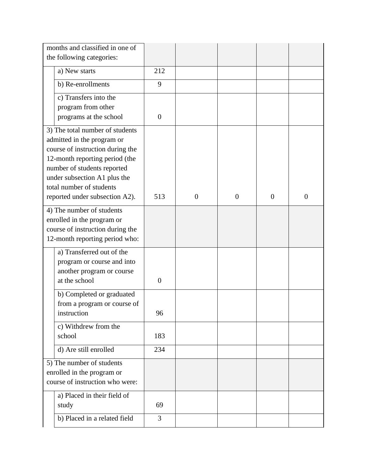| months and classified in one of                               |                                                                    |                |                |                |                |          |
|---------------------------------------------------------------|--------------------------------------------------------------------|----------------|----------------|----------------|----------------|----------|
| the following categories:                                     |                                                                    |                |                |                |                |          |
|                                                               | a) New starts                                                      | 212            |                |                |                |          |
|                                                               | b) Re-enrollments                                                  | 9              |                |                |                |          |
|                                                               | c) Transfers into the                                              |                |                |                |                |          |
|                                                               | program from other                                                 |                |                |                |                |          |
|                                                               | programs at the school                                             | $\overline{0}$ |                |                |                |          |
|                                                               | 3) The total number of students                                    |                |                |                |                |          |
|                                                               | admitted in the program or                                         |                |                |                |                |          |
|                                                               | course of instruction during the<br>12-month reporting period (the |                |                |                |                |          |
|                                                               | number of students reported                                        |                |                |                |                |          |
|                                                               | under subsection A1 plus the                                       |                |                |                |                |          |
|                                                               | total number of students                                           |                |                |                |                |          |
|                                                               | reported under subsection A2).                                     | 513            | $\overline{0}$ | $\overline{0}$ | $\overline{0}$ | $\theta$ |
|                                                               | 4) The number of students                                          |                |                |                |                |          |
|                                                               | enrolled in the program or                                         |                |                |                |                |          |
|                                                               | course of instruction during the                                   |                |                |                |                |          |
|                                                               | 12-month reporting period who:                                     |                |                |                |                |          |
|                                                               | a) Transferred out of the                                          |                |                |                |                |          |
|                                                               | program or course and into                                         |                |                |                |                |          |
|                                                               | another program or course<br>at the school                         | $\overline{0}$ |                |                |                |          |
|                                                               |                                                                    |                |                |                |                |          |
|                                                               | b) Completed or graduated<br>from a program or course of           |                |                |                |                |          |
|                                                               | instruction                                                        | 96             |                |                |                |          |
|                                                               | c) Withdrew from the                                               |                |                |                |                |          |
|                                                               | school                                                             | 183            |                |                |                |          |
|                                                               | d) Are still enrolled                                              | 234            |                |                |                |          |
|                                                               |                                                                    |                |                |                |                |          |
|                                                               | 5) The number of students                                          |                |                |                |                |          |
| enrolled in the program or<br>course of instruction who were: |                                                                    |                |                |                |                |          |
|                                                               |                                                                    |                |                |                |                |          |
|                                                               | a) Placed in their field of<br>study                               | 69             |                |                |                |          |
|                                                               |                                                                    |                |                |                |                |          |
|                                                               | b) Placed in a related field                                       | 3              |                |                |                |          |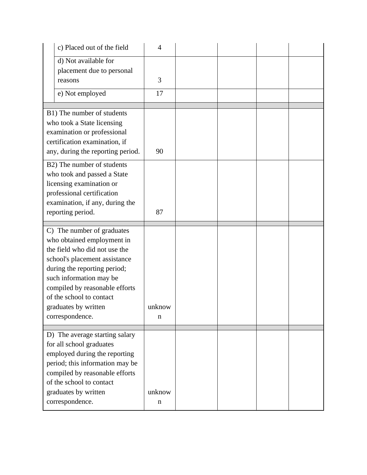| c) Placed out of the field              | $\overline{4}$ |  |  |
|-----------------------------------------|----------------|--|--|
| d) Not available for                    |                |  |  |
| placement due to personal               |                |  |  |
| reasons                                 | 3              |  |  |
| e) Not employed                         | 17             |  |  |
| B1) The number of students              |                |  |  |
| who took a State licensing              |                |  |  |
| examination or professional             |                |  |  |
| certification examination, if           |                |  |  |
| any, during the reporting period.       | 90             |  |  |
| B2) The number of students              |                |  |  |
| who took and passed a State             |                |  |  |
| licensing examination or                |                |  |  |
| professional certification              |                |  |  |
| examination, if any, during the         |                |  |  |
| reporting period.                       | 87             |  |  |
| C) The number of graduates              |                |  |  |
| who obtained employment in              |                |  |  |
| the field who did not use the           |                |  |  |
| school's placement assistance           |                |  |  |
| during the reporting period;            |                |  |  |
| such information may be                 |                |  |  |
| compiled by reasonable efforts          |                |  |  |
| of the school to contact                | unknow         |  |  |
| graduates by written<br>correspondence. | n              |  |  |
|                                         |                |  |  |
| D) The average starting salary          |                |  |  |
| for all school graduates                |                |  |  |
| employed during the reporting           |                |  |  |
| period; this information may be         |                |  |  |
| compiled by reasonable efforts          |                |  |  |
| of the school to contact                |                |  |  |
| graduates by written                    | unknow         |  |  |
| correspondence.                         | n              |  |  |